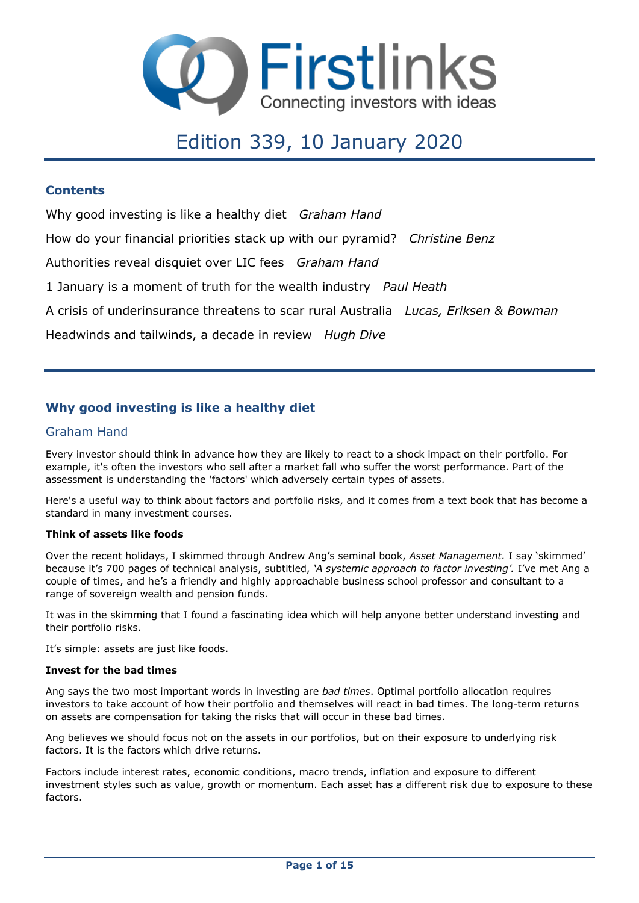

# Edition 339, 10 January 2020

### **Contents**

Why good investing is like a healthy diet *Graham Hand*

How do your financial priorities stack up with our pyramid? *Christine Benz*

Authorities reveal disquiet over LIC fees *Graham Hand*

1 January is a moment of truth for the wealth industry *Paul Heath*

A crisis of underinsurance threatens to scar rural Australia *Lucas, Eriksen & Bowman*

Headwinds and tailwinds, a decade in review *Hugh Dive*

### **Why good investing is like a healthy diet**

### Graham Hand

Every investor should think in advance how they are likely to react to a shock impact on their portfolio. For example, it's often the investors who sell after a market fall who suffer the worst performance. Part of the assessment is understanding the 'factors' which adversely certain types of assets.

Here's a useful way to think about factors and portfolio risks, and it comes from a text book that has become a standard in many investment courses.

### **Think of assets like foods**

Over the recent holidays, I skimmed through Andrew Ang's seminal book, *Asset Management.* I say 'skimmed' because it's 700 pages of technical analysis, subtitled, *'A systemic approach to factor investing'.* I've met Ang a couple of times, and he's a friendly and highly approachable business school professor and consultant to a range of sovereign wealth and pension funds.

It was in the skimming that I found a fascinating idea which will help anyone better understand investing and their portfolio risks.

It's simple: assets are just like foods.

#### **Invest for the bad times**

Ang says the two most important words in investing are *bad times*. Optimal portfolio allocation requires investors to take account of how their portfolio and themselves will react in bad times. The long-term returns on assets are compensation for taking the risks that will occur in these bad times.

Ang believes we should focus not on the assets in our portfolios, but on their exposure to underlying risk factors. It is the factors which drive returns.

Factors include interest rates, economic conditions, macro trends, inflation and exposure to different investment styles such as value, growth or momentum. Each asset has a different risk due to exposure to these factors.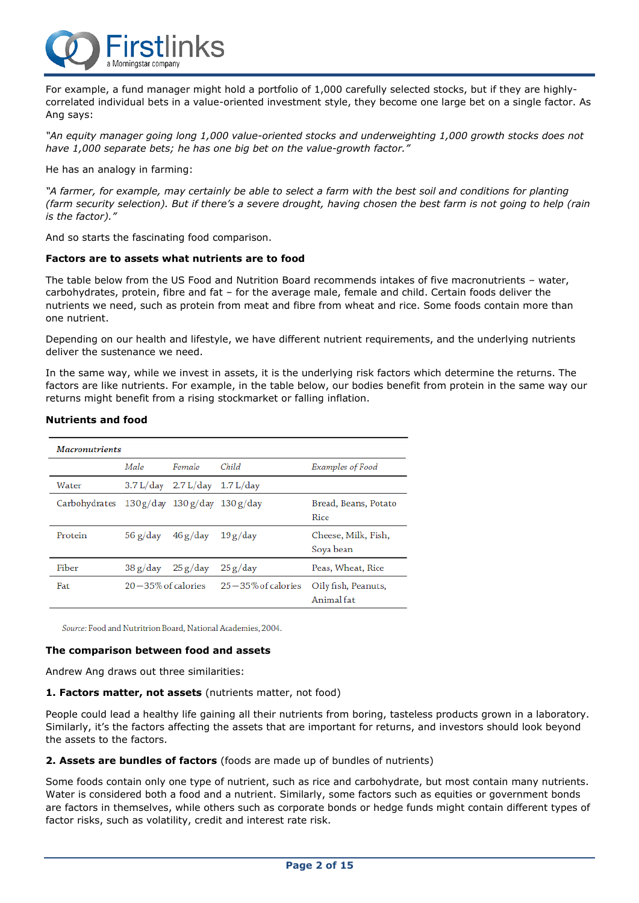

For example, a fund manager might hold a portfolio of 1,000 carefully selected stocks, but if they are highlycorrelated individual bets in a value-oriented investment style, they become one large bet on a single factor. As Ang says:

*"An equity manager going long 1,000 value-oriented stocks and underweighting 1,000 growth stocks does not have 1,000 separate bets; he has one big bet on the value-growth factor."*

He has an analogy in farming:

"A farmer, for example, may certainly be able to select a farm with the best soil and conditions for planting (farm security selection). But if there's a severe drought, having chosen the best farm is not going to help (rain *is the factor)."*

And so starts the fascinating food comparison.

#### **Factors are to assets what nutrients are to food**

The table below from the US Food and Nutrition Board recommends intakes of five macronutrients – water, carbohydrates, protein, fibre and fat – for the average male, female and child. Certain foods deliver the nutrients we need, such as protein from meat and fibre from wheat and rice. Some foods contain more than one nutrient.

Depending on our health and lifestyle, we have different nutrient requirements, and the underlying nutrients deliver the sustenance we need.

In the same way, while we invest in assets, it is the underlying risk factors which determine the returns. The factors are like nutrients. For example, in the table below, our bodies benefit from protein in the same way our returns might benefit from a rising stockmarket or falling inflation.

#### **Nutrients and food**

| <b>Macronutrients</b>                          |          |                                                     |                       |                                   |  |
|------------------------------------------------|----------|-----------------------------------------------------|-----------------------|-----------------------------------|--|
|                                                | Male     | Female                                              | Child                 | Examples of Food                  |  |
| Water                                          |          | $3.7 L/day$ 2.7 L/day 1.7 L/day                     |                       |                                   |  |
| Carbohydrates $130g/day$ $130g/day$ $130g/day$ |          |                                                     |                       | Bread, Beans, Potato<br>Rice      |  |
| Protein                                        |          | $56 \text{ g}/\text{day}$ $46 \text{ g}/\text{day}$ | 19g/day               | Cheese, Milk, Fish,<br>Soya bean  |  |
| Fiber                                          | 38 g/day | 25 g/day                                            | 25g/day               | Peas, Wheat, Rice                 |  |
| Fat                                            |          | $20-35\%$ of calories                               | $25-35\%$ of calories | Oily fish, Peanuts,<br>Animal fat |  |

Source: Food and Nutritrion Board, National Academies, 2004.

#### **The comparison between food and assets**

Andrew Ang draws out three similarities:

**1. Factors matter, not assets** (nutrients matter, not food)

People could lead a healthy life gaining all their nutrients from boring, tasteless products grown in a laboratory. Similarly, it's the factors affecting the assets that are important for returns, and investors should look beyond the assets to the factors.

#### **2. Assets are bundles of factors** (foods are made up of bundles of nutrients)

Some foods contain only one type of nutrient, such as rice and carbohydrate, but most contain many nutrients. Water is considered both a food and a nutrient. Similarly, some factors such as equities or government bonds are factors in themselves, while others such as corporate bonds or hedge funds might contain different types of factor risks, such as volatility, credit and interest rate risk.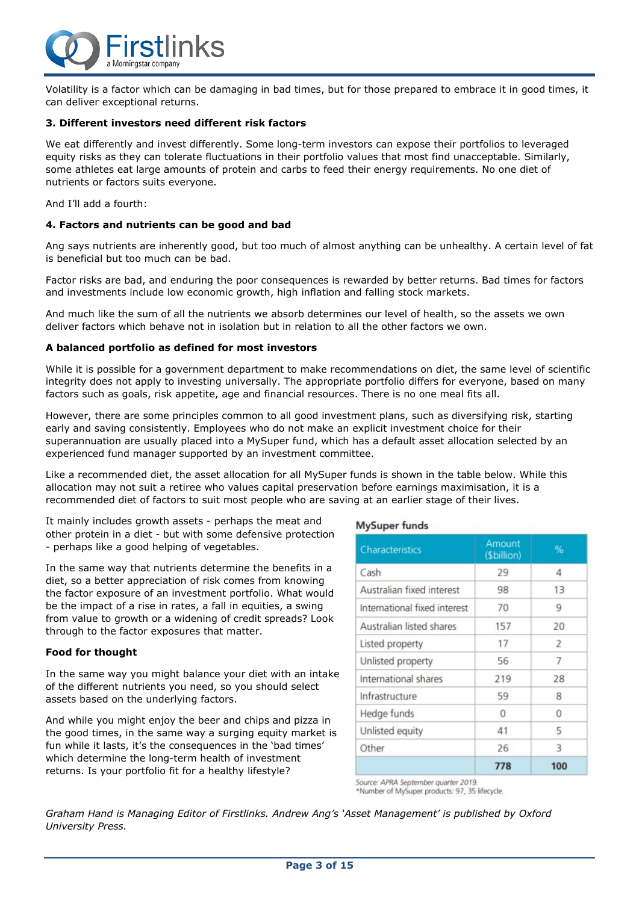

Volatility is a factor which can be damaging in bad times, but for those prepared to embrace it in good times, it can deliver exceptional returns.

#### **3. Different investors need different risk factors**

We eat differently and invest differently. Some long-term investors can expose their portfolios to leveraged equity risks as they can tolerate fluctuations in their portfolio values that most find unacceptable. Similarly, some athletes eat large amounts of protein and carbs to feed their energy requirements. No one diet of nutrients or factors suits everyone.

And I'll add a fourth:

#### **4. Factors and nutrients can be good and bad**

Ang says nutrients are inherently good, but too much of almost anything can be unhealthy. A certain level of fat is beneficial but too much can be bad.

Factor risks are bad, and enduring the poor consequences is rewarded by better returns. Bad times for factors and investments include low economic growth, high inflation and falling stock markets.

And much like the sum of all the nutrients we absorb determines our level of health, so the assets we own deliver factors which behave not in isolation but in relation to all the other factors we own.

#### **A balanced portfolio as defined for most investors**

While it is possible for a government department to make recommendations on diet, the same level of scientific integrity does not apply to investing universally. The appropriate portfolio differs for everyone, based on many factors such as goals, risk appetite, age and financial resources. There is no one meal fits all.

However, there are some principles common to all good investment plans, such as diversifying risk, starting early and saving consistently. Employees who do not make an explicit investment choice for their superannuation are usually placed into a MySuper fund, which has a default asset allocation selected by an experienced fund manager supported by an investment committee.

Like a recommended diet, the asset allocation for all MySuper funds is shown in the table below. While this allocation may not suit a retiree who values capital preservation before earnings maximisation, it is a recommended diet of factors to suit most people who are saving at an earlier stage of their lives.

It mainly includes growth assets - perhaps the meat and other protein in a diet - but with some defensive protection - perhaps like a good helping of vegetables.

In the same way that nutrients determine the benefits in a diet, so a better appreciation of risk comes from knowing the factor exposure of an investment portfolio. What would be the impact of a rise in rates, a fall in equities, a swing from value to growth or a widening of credit spreads? Look through to the factor exposures that matter.

#### **Food for thought**

In the same way you might balance your diet with an intake of the different nutrients you need, so you should select assets based on the underlying factors.

And while you might enjoy the beer and chips and pizza in the good times, in the same way a surging equity market is fun while it lasts, it's the consequences in the 'bad times' which determine the long-term health of investment returns. Is your portfolio fit for a healthy lifestyle?

#### **MySuper funds**

| Characteristics              | Amount<br>(\$billion) | %              |
|------------------------------|-----------------------|----------------|
| Cash                         | 29                    | $\overline{A}$ |
| Australian fixed interest    | 98                    | 13             |
| International fixed interest | 70                    | 9              |
| Australian listed shares     | 157                   | 20             |
| Listed property              | 17                    | 2              |
| Unlisted property            | 56                    | 7              |
| International shares         | 219                   | 28             |
| Infrastructure               | 59                    | 8              |
| Hedge funds                  | $\Omega$              | $\Omega$       |
| Unlisted equity              | 41                    | 5              |
| Other                        | 26                    | 3              |
|                              | 778                   | 100            |

Source: APRA September quarter 2019 \*Number of MySuper products: 97, 35 lifecycle.

*Graham Hand is Managing Editor of Firstlinks. Andrew Ang's 'Asset Management' is published by Oxford University Press.*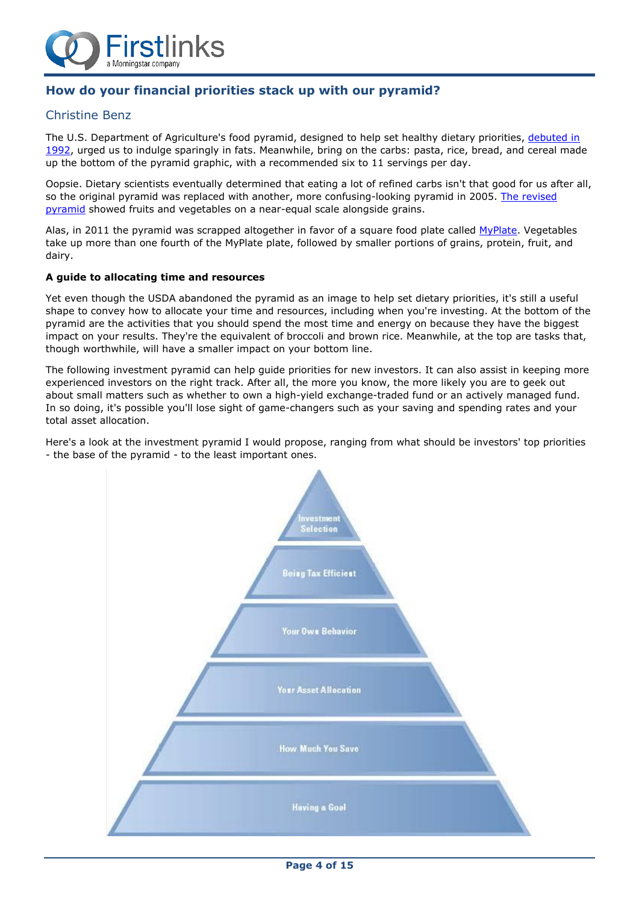

### **How do your financial priorities stack up with our pyramid?**

### Christine Benz

The U.S. Department of Agriculture's food pyramid, designed to help set healthy dietary priorities, [debuted](http://www.todayifoundout.com/index.php/2013/09/invented-food-pyramid/) in [1992,](http://www.todayifoundout.com/index.php/2013/09/invented-food-pyramid/) urged us to indulge sparingly in fats. Meanwhile, bring on the carbs: pasta, rice, bread, and cereal made up the bottom of the pyramid graphic, with a recommended six to 11 servings per day.

Oopsie. Dietary scientists eventually determined that eating a lot of refined carbs isn't that good for us after all, so the original pyramid was replaced with another, more confusing-looking pyramid in 2005. The [revised](https://en.wikipedia.org/wiki/MyPyramid) [pyramid](https://en.wikipedia.org/wiki/MyPyramid) showed fruits and vegetables on a near-equal scale alongside grains.

Alas, in 2011 the pyramid was scrapped altogether in favor of a square food plate called [MyPlate.](https://www.choosemyplate.gov/) Vegetables take up more than one fourth of the MyPlate plate, followed by smaller portions of grains, protein, fruit, and dairy.

#### **A guide to allocating time and resources**

Yet even though the USDA abandoned the pyramid as an image to help set dietary priorities, it's still a useful shape to convey how to allocate your time and resources, including when you're investing. At the bottom of the pyramid are the activities that you should spend the most time and energy on because they have the biggest impact on your results. They're the equivalent of broccoli and brown rice. Meanwhile, at the top are tasks that, though worthwhile, will have a smaller impact on your bottom line.

The following investment pyramid can help guide priorities for new investors. It can also assist in keeping more experienced investors on the right track. After all, the more you know, the more likely you are to geek out about small matters such as whether to own a high-yield exchange-traded fund or an actively managed fund. In so doing, it's possible you'll lose sight of game-changers such as your saving and spending rates and your total asset allocation.

Here's a look at the investment pyramid I would propose, ranging from what should be investors' top priorities - the base of the pyramid - to the least important ones.

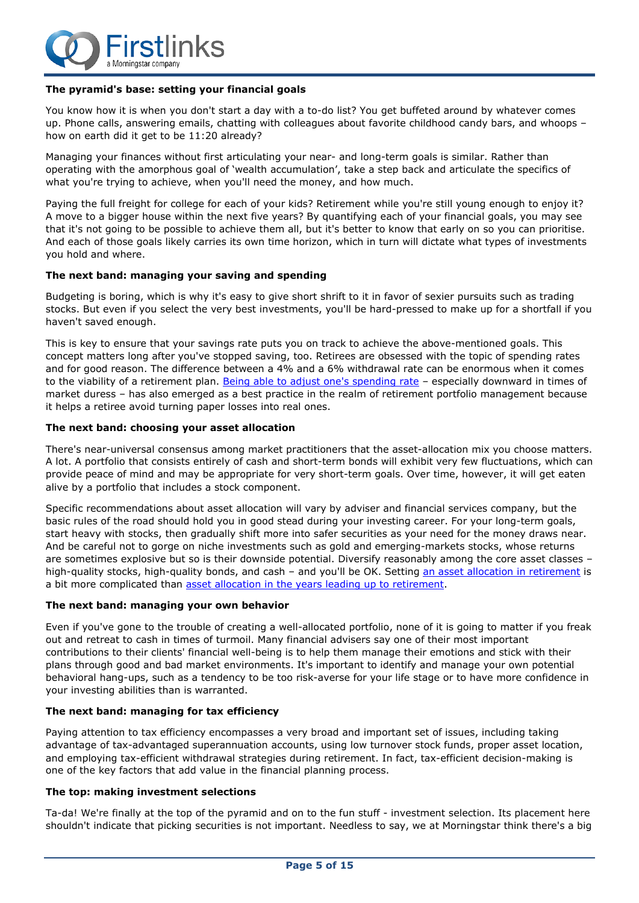

#### **The pyramid's base: setting your financial goals**

You know how it is when you don't start a day with a to-do list? You get buffeted around by whatever comes up. Phone calls, answering emails, chatting with colleagues about favorite childhood candy bars, and whoops – how on earth did it get to be 11:20 already?

Managing your finances without first articulating your near- and long-term goals is similar. Rather than operating with the amorphous goal of 'wealth accumulation', take a step back and articulate the specifics of what you're trying to achieve, when you'll need the money, and how much.

Paying the full freight for college for each of your kids? Retirement while you're still young enough to enjoy it? A move to a bigger house within the next five years? By quantifying each of your financial goals, you may see that it's not going to be possible to achieve them all, but it's better to know that early on so you can prioritise. And each of those goals likely carries its own time horizon, which in turn will dictate what types of investments you hold and where.

#### **The next band: managing your saving and spending**

Budgeting is boring, which is why it's easy to give short shrift to it in favor of sexier pursuits such as trading stocks. But even if you select the very best investments, you'll be hard-pressed to make up for a shortfall if you haven't saved enough.

This is key to ensure that your savings rate puts you on track to achieve the above-mentioned goals. This concept matters long after you've stopped saving, too. Retirees are obsessed with the topic of spending rates and for good reason. The difference between a 4% and a 6% withdrawal rate can be enormous when it comes to the viability of a retirement plan. Being able to adjust one's [spending](https://www.morningstar.com/articles/536284) rate - especially downward in times of market duress – has also emerged as a best practice in the realm of retirement portfolio management because it helps a retiree avoid turning paper losses into real ones.

#### **The next band: choosing your asset allocation**

There's near-universal consensus among market practitioners that the asset-allocation mix you choose matters. A lot. A portfolio that consists entirely of cash and short-term bonds will exhibit very few fluctuations, which can provide peace of mind and may be appropriate for very short-term goals. Over time, however, it will get eaten alive by a portfolio that includes a stock component.

Specific recommendations about asset allocation will vary by adviser and financial services company, but the basic rules of the road should hold you in good stead during your investing career. For your long-term goals, start heavy with stocks, then gradually shift more into safer securities as your need for the money draws near. And be careful not to gorge on niche investments such as gold and emerging-markets stocks, whose returns are sometimes explosive but so is their downside potential. Diversify reasonably among the core asset classes – high-quality stocks, high-quality bonds, and cash – and you'll be OK. Setting an asset allocation in [retirement](https://www.morningstar.com/articles/839520) is a bit more complicated than asset allocation in the years leading up to [retirement.](https://www.morningstar.com/articles/844384)

#### **The next band: managing your own behavior**

Even if you've gone to the trouble of creating a well-allocated portfolio, none of it is going to matter if you freak out and retreat to cash in times of turmoil. Many financial advisers say one of their most important contributions to their clients' financial well-being is to help them manage their emotions and stick with their plans through good and bad market environments. It's important to identify and manage your own potential behavioral hang-ups, such as a tendency to be too risk-averse for your life stage or to have more confidence in your investing abilities than is warranted.

#### **The next band: managing for tax efficiency**

Paying attention to tax efficiency encompasses a very broad and important set of issues, including taking advantage of tax-advantaged superannuation accounts, using low turnover stock funds, proper asset location, and employing tax-efficient withdrawal strategies during retirement. In fact, tax-efficient decision-making is one of the key factors that add value in the financial planning process.

#### **The top: making investment selections**

Ta-da! We're finally at the top of the pyramid and on to the fun stuff - investment selection. Its placement here shouldn't indicate that picking securities is not important. Needless to say, we at Morningstar think there's a big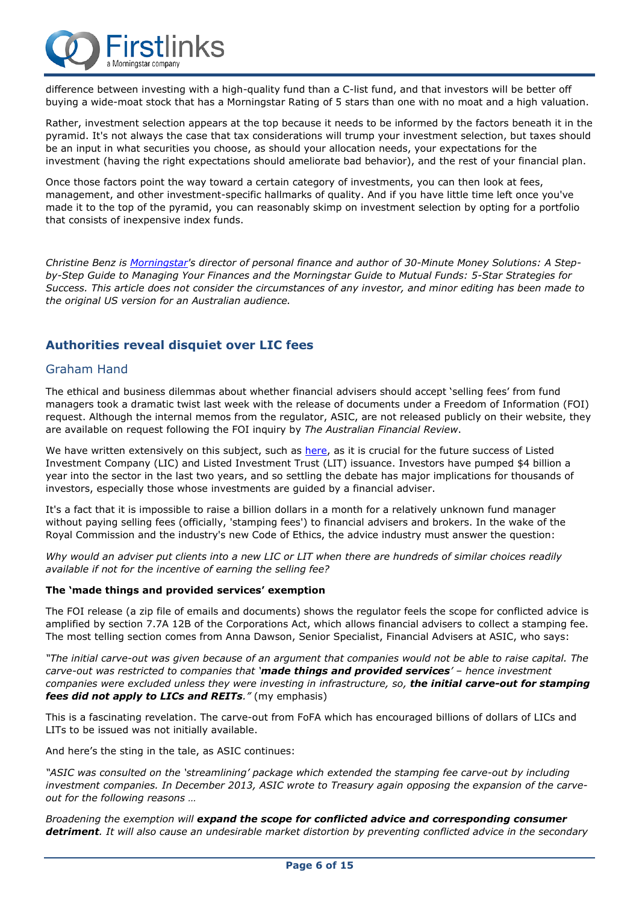

difference between investing with a high-quality fund than a C-list fund, and that investors will be better off buying a wide-moat stock that has a Morningstar Rating of 5 stars than one with no moat and a high valuation.

Rather, investment selection appears at the top because it needs to be informed by the factors beneath it in the pyramid. It's not always the case that tax considerations will trump your investment selection, but taxes should be an input in what securities you choose, as should your allocation needs, your expectations for the investment (having the right expectations should ameliorate bad behavior), and the rest of your financial plan.

Once those factors point the way toward a certain category of investments, you can then look at fees, management, and other investment-specific hallmarks of quality. And if you have little time left once you've made it to the top of the pyramid, you can reasonably skimp on investment selection by opting for a portfolio that consists of inexpensive index funds.

Christine Benz is [Morningstar'](https://www.morningstar.com/)s director of personal finance and author of 30-Minute Money Solutions: A Step*by-Step Guide to Managing Your Finances and the Morningstar Guide to Mutual Funds: 5-Star Strategies for* Success. This article does not consider the circumstances of any investor, and minor editing has been made to *the original US version for an Australian audience.*

### **Authorities reveal disquiet over LIC fees**

### Graham Hand

The ethical and business dilemmas about whether financial advisers should accept 'selling fees' from fund managers took a dramatic twist last week with the release of documents under a Freedom of Information (FOI) request. Although the internal memos from the regulator, ASIC, are not released publicly on their website, they are available on request following the FOI inquiry by *The Australian Financial Review*.

We have written extensively on this subject, such as [here,](https://www.firstlinks.com.au/article/advisers-and-investors-in-the-dark-on-lits-and-lics) as it is crucial for the future success of Listed Investment Company (LIC) and Listed Investment Trust (LIT) issuance. Investors have pumped \$4 billion a year into the sector in the last two years, and so settling the debate has major implications for thousands of investors, especially those whose investments are guided by a financial adviser.

It's a fact that it is impossible to raise a billion dollars in a month for a relatively unknown fund manager without paying selling fees (officially, 'stamping fees') to financial advisers and brokers. In the wake of the Royal Commission and the industry's new Code of Ethics, the advice industry must answer the question:

Why would an adviser put clients into a new LIC or LIT when there are hundreds of similar choices readily *available if not for the incentive of earning the selling fee?*

#### **The 'made things and provided services' exemption**

The FOI release (a zip file of emails and documents) shows the regulator feels the scope for conflicted advice is amplified by section 7.7A 12B of the Corporations Act, which allows financial advisers to collect a stamping fee. The most telling section comes from Anna Dawson, Senior Specialist, Financial Advisers at ASIC, who says:

"The initial carve-out was given because of an argument that companies would not be able to raise capital. The *carve-out was restricted to companies that 'made things and provided services' – hence investment companies were excluded unless they were investing in infrastructure, so, the initial carve-out for stamping fees did not apply to LICs and REITs."* (my emphasis)

This is a fascinating revelation. The carve-out from FoFA which has encouraged billions of dollars of LICs and LITs to be issued was not initially available.

And here's the sting in the tale, as ASIC continues:

*"ASIC was consulted on the 'streamlining' package which extended the stamping fee carve-out by including investment companies. In December 2013, ASIC wrote to Treasury again opposing the expansion of the carveout for the following reasons …*

*Broadening the exemption will expand the scope for conflicted advice and corresponding consumer* detriment. It will also cause an undesirable market distortion by preventing conflicted advice in the secondary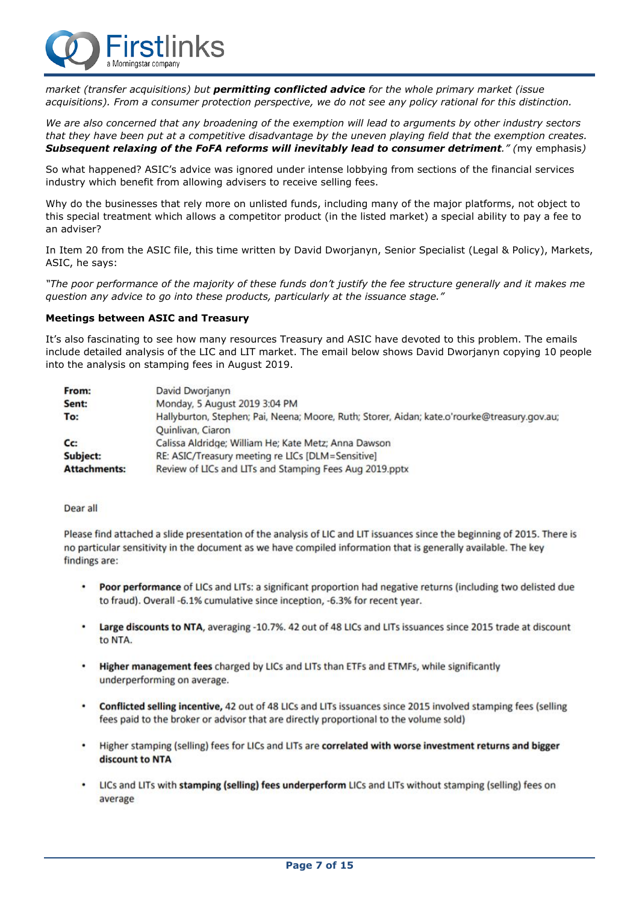

*market (transfer acquisitions) but permitting conflicted advice for the whole primary market (issue acquisitions). From a consumer protection perspective, we do not see any policy rational for this distinction.*

We are also concerned that any broadening of the exemption will lead to arguments by other industry sectors that they have been put at a competitive disadvantage by the uneven playing field that the exemption creates. *Subsequent relaxing of the FoFA reforms will inevitably lead to consumer detriment." (*my emphasis*)*

So what happened? ASIC's advice was ignored under intense lobbying from sections of the financial services industry which benefit from allowing advisers to receive selling fees.

Why do the businesses that rely more on unlisted funds, including many of the major platforms, not object to this special treatment which allows a competitor product (in the listed market) a special ability to pay a fee to an adviser?

In Item 20 from the ASIC file, this time written by David Dworjanyn, Senior Specialist (Legal & Policy), Markets, ASIC, he says:

"The poor performance of the majority of these funds don't justify the fee structure generally and it makes me *question any advice to go into these products, particularly at the issuance stage."*

#### **Meetings between ASIC and Treasury**

It's also fascinating to see how many resources Treasury and ASIC have devoted to this problem. The emails include detailed analysis of the LIC and LIT market. The email below shows David Dworjanyn copying 10 people into the analysis on stamping fees in August 2019.

| From:               | David Dworjanyn                                                                              |
|---------------------|----------------------------------------------------------------------------------------------|
| Sent:               | Monday, 5 August 2019 3:04 PM                                                                |
| To:                 | Hallyburton, Stephen; Pai, Neena; Moore, Ruth; Storer, Aidan; kate.o'rourke@treasury.qov.au; |
|                     | Quinlivan, Ciaron                                                                            |
| C <sub>C</sub>      | Calissa Aldridge; William He; Kate Metz; Anna Dawson                                         |
| Subject:            | RE: ASIC/Treasury meeting re LICs [DLM=Sensitive]                                            |
| <b>Attachments:</b> | Review of LICs and LITs and Stamping Fees Aug 2019.pptx                                      |

#### Dear all

Please find attached a slide presentation of the analysis of LIC and LIT issuances since the beginning of 2015. There is no particular sensitivity in the document as we have compiled information that is generally available. The key findings are:

- Poor performance of LICs and LITs: a significant proportion had negative returns (including two delisted due to fraud). Overall -6.1% cumulative since inception, -6.3% for recent year.
- $\bullet$ Large discounts to NTA, averaging -10.7%. 42 out of 48 LICs and LITs issuances since 2015 trade at discount to NTA.
- ¥ Higher management fees charged by LICs and LITs than ETFs and ETMFs, while significantly underperforming on average.
- ٠ Conflicted selling incentive, 42 out of 48 LICs and LITs issuances since 2015 involved stamping fees (selling fees paid to the broker or advisor that are directly proportional to the volume sold)
- Higher stamping (selling) fees for LICs and LITs are correlated with worse investment returns and bigger ٠ discount to NTA
- LICs and LITs with stamping (selling) fees underperform LICs and LITs without stamping (selling) fees on ٠ average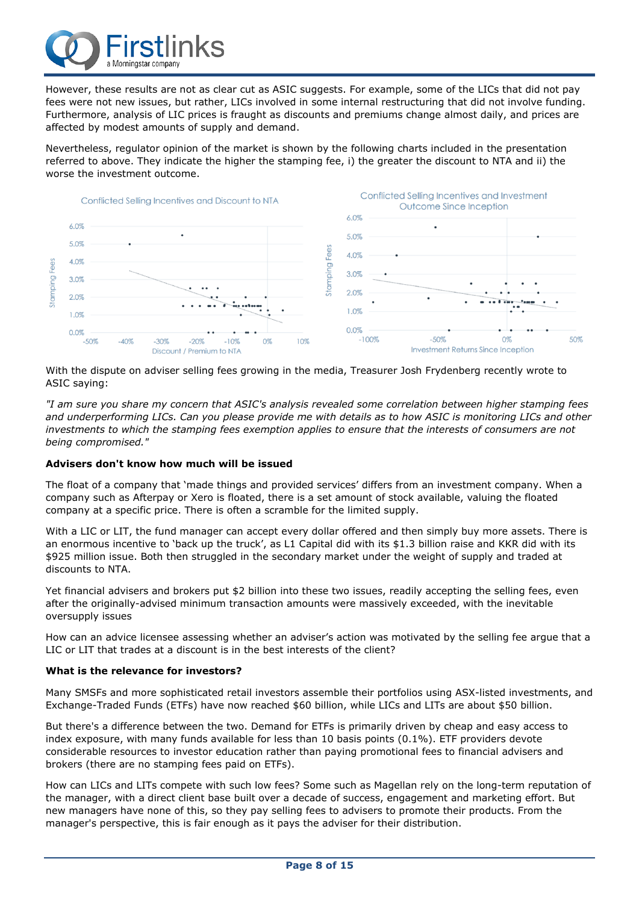

However, these results are not as clear cut as ASIC suggests. For example, some of the LICs that did not pay fees were not new issues, but rather, LICs involved in some internal restructuring that did not involve funding. Furthermore, analysis of LIC prices is fraught as discounts and premiums change almost daily, and prices are affected by modest amounts of supply and demand.

Nevertheless, regulator opinion of the market is shown by the following charts included in the presentation referred to above. They indicate the higher the stamping fee, i) the greater the discount to NTA and ii) the worse the investment outcome.



With the dispute on adviser selling fees growing in the media, Treasurer Josh Frydenberg recently wrote to ASIC saying:

"I am sure you share my concern that ASIC's analysis revealed some correlation between higher stamping fees and underperforming LICs. Can you please provide me with details as to how ASIC is monitoring LICs and other investments to which the stamping fees exemption applies to ensure that the interests of consumers are not *being compromised."*

#### **Advisers don't know how much will be issued**

The float of a company that 'made things and provided services' differs from an investment company. When a company such as Afterpay or Xero is floated, there is a set amount of stock available, valuing the floated company at a specific price. There is often a scramble for the limited supply.

With a LIC or LIT, the fund manager can accept every dollar offered and then simply buy more assets. There is an enormous incentive to 'back up the truck', as L1 Capital did with its \$1.3 billion raise and KKR did with its \$925 million issue. Both then struggled in the secondary market under the weight of supply and traded at discounts to NTA.

Yet financial advisers and brokers put \$2 billion into these two issues, readily accepting the selling fees, even after the originally-advised minimum transaction amounts were massively exceeded, with the inevitable oversupply issues

How can an advice licensee assessing whether an adviser's action was motivated by the selling fee argue that a LIC or LIT that trades at a discount is in the best interests of the client?

#### **What is the relevance for investors?**

Many SMSFs and more sophisticated retail investors assemble their portfolios using ASX-listed investments, and Exchange-Traded Funds (ETFs) have now reached \$60 billion, while LICs and LITs are about \$50 billion.

But there's a difference between the two. Demand for ETFs is primarily driven by cheap and easy access to index exposure, with many funds available for less than 10 basis points (0.1%). ETF providers devote considerable resources to investor education rather than paying promotional fees to financial advisers and brokers (there are no stamping fees paid on ETFs).

How can LICs and LITs compete with such low fees? Some such as Magellan rely on the long-term reputation of the manager, with a direct client base built over a decade of success, engagement and marketing effort. But new managers have none of this, so they pay selling fees to advisers to promote their products. From the manager's perspective, this is fair enough as it pays the adviser for their distribution.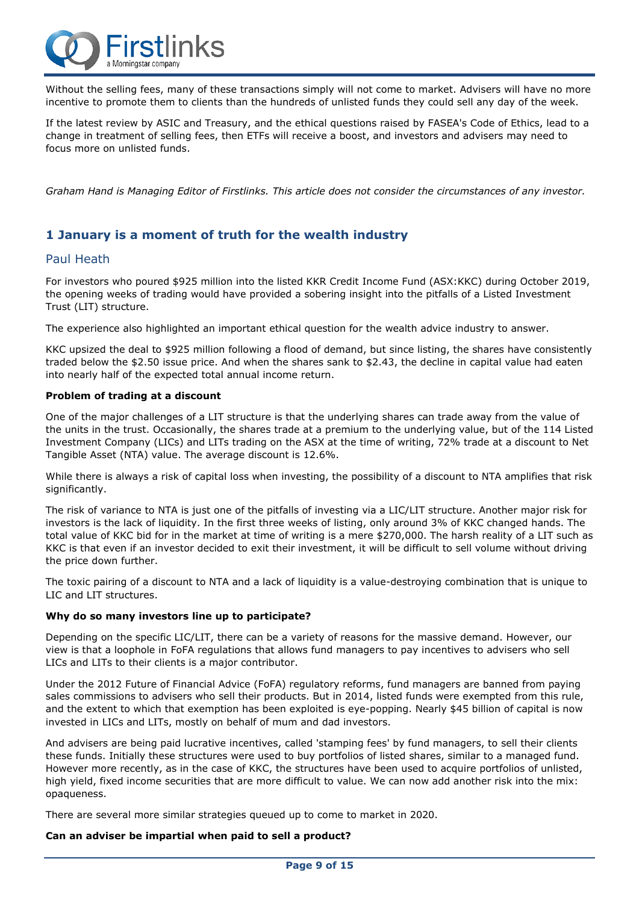

Without the selling fees, many of these transactions simply will not come to market. Advisers will have no more incentive to promote them to clients than the hundreds of unlisted funds they could sell any day of the week.

If the latest review by ASIC and Treasury, and the ethical questions raised by FASEA's Code of Ethics, lead to a change in treatment of selling fees, then ETFs will receive a boost, and investors and advisers may need to focus more on unlisted funds.

Graham Hand is Managing Editor of Firstlinks. This article does not consider the circumstances of any investor.

### **1 January is a moment of truth for the wealth industry**

### Paul Heath

For investors who poured \$925 million into the listed KKR Credit Income Fund (ASX:KKC) during October 2019, the opening weeks of trading would have provided a sobering insight into the pitfalls of a Listed Investment Trust (LIT) structure.

The experience also highlighted an important ethical question for the wealth advice industry to answer.

KKC upsized the deal to \$925 million following a flood of demand, but since listing, the shares have consistently traded below the \$2.50 issue price. And when the shares sank to \$2.43, the decline in capital value had eaten into nearly half of the expected total annual income return.

#### **Problem of trading at a discount**

One of the major challenges of a LIT structure is that the underlying shares can trade away from the value of the units in the trust. Occasionally, the shares trade at a premium to the underlying value, but of the 114 Listed Investment Company (LICs) and LITs trading on the ASX at the time of writing, 72% trade at a discount to Net Tangible Asset (NTA) value. The average discount is 12.6%.

While there is always a risk of capital loss when investing, the possibility of a discount to NTA amplifies that risk significantly.

The risk of variance to NTA is just one of the pitfalls of investing via a LIC/LIT structure. Another major risk for investors is the lack of liquidity. In the first three weeks of listing, only around 3% of KKC changed hands. The total value of KKC bid for in the market at time of writing is a mere \$270,000. The harsh reality of a LIT such as KKC is that even if an investor decided to exit their investment, it will be difficult to sell volume without driving the price down further.

The toxic pairing of a discount to NTA and a lack of liquidity is a value-destroying combination that is unique to LIC and LIT structures.

### **Why do so many investors line up to participate?**

Depending on the specific LIC/LIT, there can be a variety of reasons for the massive demand. However, our view is that a loophole in FoFA regulations that allows fund managers to pay incentives to advisers who sell LICs and LITs to their clients is a major contributor.

Under the 2012 Future of Financial Advice (FoFA) regulatory reforms, fund managers are banned from paying sales commissions to advisers who sell their products. But in 2014, listed funds were exempted from this rule, and the extent to which that exemption has been exploited is eye-popping. Nearly \$45 billion of capital is now invested in LICs and LITs, mostly on behalf of mum and dad investors.

And advisers are being paid lucrative incentives, called 'stamping fees' by fund managers, to sell their clients these funds. Initially these structures were used to buy portfolios of listed shares, similar to a managed fund. However more recently, as in the case of KKC, the structures have been used to acquire portfolios of unlisted, high yield, fixed income securities that are more difficult to value. We can now add another risk into the mix: opaqueness.

There are several more similar strategies queued up to come to market in 2020.

#### **Can an adviser be impartial when paid to sell a product?**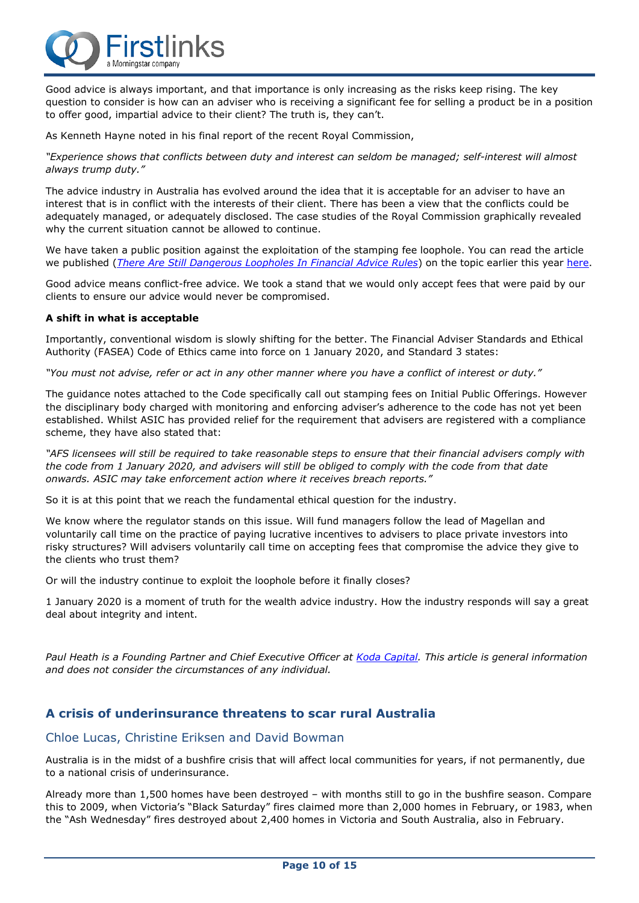

Good advice is always important, and that importance is only increasing as the risks keep rising. The key question to consider is how can an adviser who is receiving a significant fee for selling a product be in a position to offer good, impartial advice to their client? The truth is, they can't.

As Kenneth Hayne noted in his final report of the recent Royal Commission,

*"Experience shows that conflicts between duty and interest can seldom be managed; self-interest will almost always trump duty."*

The advice industry in Australia has evolved around the idea that it is acceptable for an adviser to have an interest that is in conflict with the interests of their client. There has been a view that the conflicts could be adequately managed, or adequately disclosed. The case studies of the Royal Commission graphically revealed why the current situation cannot be allowed to continue.

We have taken a public position against the exploitation of the stamping fee loophole. You can read the article we published (*There Are Still [Dangerous](https://kodacapital.com/press/there-are-still-dangerous-loopholes-in-financial-advice-rules) Loopholes In Financial Advice Rules*) on the topic earlier this year [here.](https://kodacapital.com/press/there-are-still-dangerous-loopholes-in-financial-advice-rules)

Good advice means conflict-free advice. We took a stand that we would only accept fees that were paid by our clients to ensure our advice would never be compromised.

#### **A shift in what is acceptable**

Importantly, conventional wisdom is slowly shifting for the better. The Financial Adviser Standards and Ethical Authority (FASEA) Code of Ethics came into force on 1 January 2020, and Standard 3 states:

"You must not advise, refer or act in any other manner where you have a conflict of interest or duty."

The guidance notes attached to the Code specifically call out stamping fees on Initial Public Offerings. However the disciplinary body charged with monitoring and enforcing adviser's adherence to the code has not yet been established. Whilst ASIC has provided relief for the requirement that advisers are registered with a compliance scheme, they have also stated that:

"AFS licensees will still be reauired to take reasonable steps to ensure that their financial advisers comply with the code from 1 January 2020, and advisers will still be obliged to comply with the code from that date *onwards. ASIC may take enforcement action where it receives breach reports."*

So it is at this point that we reach the fundamental ethical question for the industry.

We know where the regulator stands on this issue. Will fund managers follow the lead of Magellan and voluntarily call time on the practice of paying lucrative incentives to advisers to place private investors into risky structures? Will advisers voluntarily call time on accepting fees that compromise the advice they give to the clients who trust them?

Or will the industry continue to exploit the loophole before it finally closes?

1 January 2020 is a moment of truth for the wealth advice industry. How the industry responds will say a great deal about integrity and intent.

Paul Heath is a Founding Partner and Chief Executive Officer at Koda [Capital.](https://kodacapital.com/) This article is general information *and does not consider the circumstances of any individual.*

### **A crisis of underinsurance threatens to scar rural Australia**

### Chloe Lucas, Christine Eriksen and David Bowman

Australia is in the midst of a bushfire crisis that will affect local communities for years, if not permanently, due to a national crisis of underinsurance.

Already more than 1,500 homes have been destroyed – with months still to go in the bushfire season. Compare this to 2009, when Victoria's "Black Saturday" fires claimed more than 2,000 homes in February, or 1983, when the "Ash Wednesday" fires destroyed about 2,400 homes in Victoria and South Australia, also in February.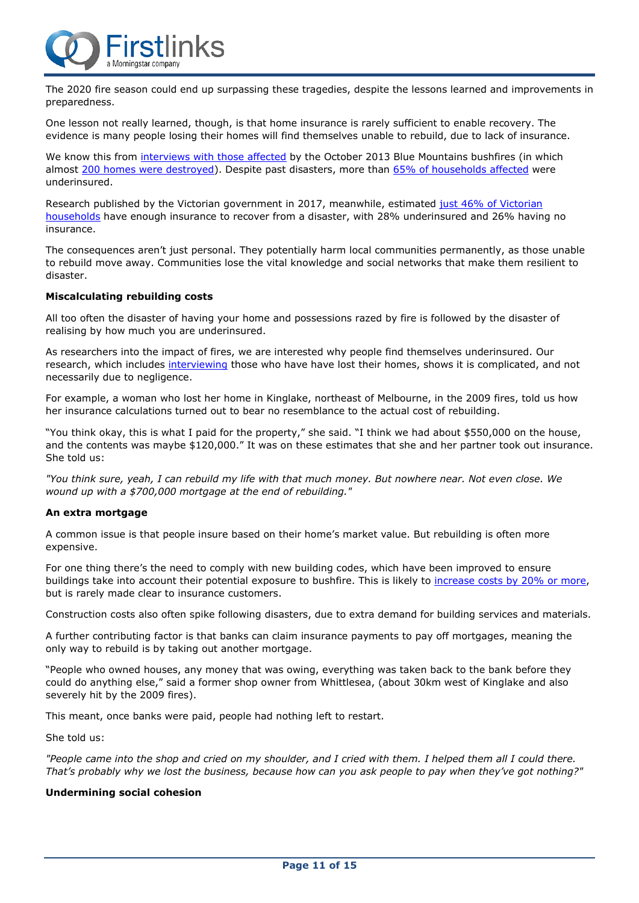

The 2020 fire season could end up surpassing these tragedies, despite the lessons learned and improvements in preparedness.

One lesson not really learned, though, is that home insurance is rarely sufficient to enable recovery. The evidence is many people losing their homes will find themselves unable to rebuild, due to lack of insurance.

We know this from [interviews](https://www.tandfonline.com/eprint/VF2QKHQM2J3JQ3YRXZQZ/full?target=10.1080%2F00049182.2019.1691436&) with those affected by the October 2013 Blue Mountains bushfires (in which almost 200 homes were [destroyed\)](https://www.abc.net.au/news/2014-10-17/remembering-the-blue-mountains-bushfires-one-year-on/5819100). Despite past disasters, more than 65% of [households](https://www.legalaid.nsw.gov.au/__data/assets/pdf_file/0003/19722/Submission-Natural-Disaster-Funding-Arrangements-June-2014-final.pdf) affected were underinsured.

Research published by the [Victorian](https://providers.dhhs.vic.gov.au/sites/default/files/2018-02/promoting%20financial%20resilience%20to%20emergencies%20through%20home%20and%20contents%20insurance%20strategy.pdf) government in 2017, meanwhile, estimated just 46% of Victorian [households](https://providers.dhhs.vic.gov.au/sites/default/files/2018-02/promoting%20financial%20resilience%20to%20emergencies%20through%20home%20and%20contents%20insurance%20strategy.pdf) have enough insurance to recover from a disaster, with 28% underinsured and 26% having no insurance.

The consequences aren't just personal. They potentially harm local communities permanently, as those unable to rebuild move away. Communities lose the vital knowledge and social networks that make them resilient to disaster.

#### **Miscalculating rebuilding costs**

All too often the disaster of having your home and possessions razed by fire is followed by the disaster of realising by how much you are underinsured.

As researchers into the impact of fires, we are interested why people find themselves underinsured. Our research, which includes [interviewing](https://insuranceresearchblog.wordpress.com/) those who have have lost their homes, shows it is complicated, and not necessarily due to negligence.

For example, a woman who lost her home in Kinglake, northeast of Melbourne, in the 2009 fires, told us how her insurance calculations turned out to bear no resemblance to the actual cost of rebuilding.

"You think okay, this is what I paid for the property," she said. "I think we had about \$550,000 on the house, and the contents was maybe \$120,000." It was on these estimates that she and her partner took out insurance. She told us:

"You think sure, yeah, I can rebuild my life with that much money. But nowhere near. Not even close. We *wound up with a \$700,000 mortgage at the end of rebuilding."*

#### **An extra mortgage**

A common issue is that people insure based on their home's market value. But rebuilding is often more expensive.

For one thing there's the need to comply with new building codes, which have been improved to ensure buildings take into account their potential exposure to bushfire. This is likely to [increase](https://www.tandfonline.com/eprint/VF2QKHQM2J3JQ3YRXZQZ/full?target=10.1080%2F00049182.2019.1691436&) costs by 20% or more, but is rarely made clear to insurance customers.

Construction costs also often spike following disasters, due to extra demand for building services and materials.

A further contributing factor is that banks can claim insurance payments to pay off mortgages, meaning the only way to rebuild is by taking out another mortgage.

"People who owned houses, any money that was owing, everything was taken back to the bank before they could do anything else," said a former shop owner from Whittlesea, (about 30km west of Kinglake and also severely hit by the 2009 fires).

This meant, once banks were paid, people had nothing left to restart.

She told us:

"People came into the shop and cried on my shoulder, and I cried with them. I helped them all I could there. That's probably why we lost the business, because how can you ask people to pay when they've got nothing?"

#### **Undermining social cohesion**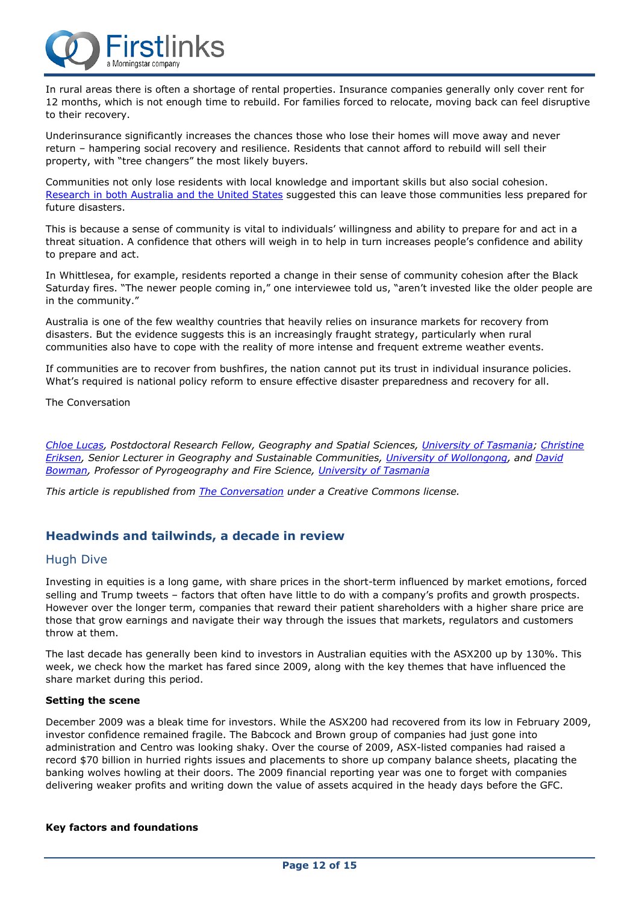

In rural areas there is often a shortage of rental properties. Insurance companies generally only cover rent for 12 months, which is not enough time to rebuild. For families forced to relocate, moving back can feel disruptive to their recovery.

Underinsurance significantly increases the chances those who lose their homes will move away and never return – hampering social recovery and resilience. Residents that cannot afford to rebuild will sell their property, with "tree changers" the most likely buyers.

Communities not only lose residents with local knowledge and important skills but also social cohesion. [Research](https://www.sciencedirect.com/science/article/abs/pii/S0959378013001684) in both Australia and the United States suggested this can leave those communities less prepared for future disasters.

This is because a sense of community is vital to individuals' willingness and ability to prepare for and act in a threat situation. A confidence that others will weigh in to help in turn increases people's confidence and ability to prepare and act.

In Whittlesea, for example, residents reported a change in their sense of community cohesion after the Black Saturday fires. "The newer people coming in," one interviewee told us, "aren't invested like the older people are in the community."

Australia is one of the few wealthy countries that heavily relies on insurance markets for recovery from disasters. But the evidence suggests this is an increasingly fraught strategy, particularly when rural communities also have to cope with the reality of more intense and frequent extreme weather events.

If communities are to recover from bushfires, the nation cannot put its trust in individual insurance policies. What's required is national policy reform to ensure effective disaster preparedness and recovery for all.

The Conversation

*Chloe [Lucas,](https://theconversation.com/profiles/chloe-lucas-132984) Postdoctoral Research Fellow, Geography and Spatial Sciences, University of [Tasmania;](http://theconversation.com/institutions/university-of-tasmania-888) [Christine](https://theconversation.com/profiles/christine-eriksen-106365) [Eriksen,](https://theconversation.com/profiles/christine-eriksen-106365) Senior Lecturer in Geography and Sustainable Communities, University of [Wollongong,](http://theconversation.com/institutions/university-of-wollongong-711) and [David](https://theconversation.com/profiles/david-bowman-4397) [Bowman,](https://theconversation.com/profiles/david-bowman-4397) Professor of Pyrogeography and Fire Science, [University](http://theconversation.com/institutions/university-of-tasmania-888) of Tasmania*

*This article is republished from The [Conversation](http://theconversation.com/) under a Creative Commons license.*

### **Headwinds and tailwinds, a decade in review**

### Hugh Dive

Investing in equities is a long game, with share prices in the short-term influenced by market emotions, forced selling and Trump tweets – factors that often have little to do with a company's profits and growth prospects. However over the longer term, companies that reward their patient shareholders with a higher share price are those that grow earnings and navigate their way through the issues that markets, regulators and customers throw at them.

The last decade has generally been kind to investors in Australian equities with the ASX200 up by 130%. This week, we check how the market has fared since 2009, along with the key themes that have influenced the share market during this period.

#### **Setting the scene**

December 2009 was a bleak time for investors. While the ASX200 had recovered from its low in February 2009, investor confidence remained fragile. The Babcock and Brown group of companies had just gone into administration and Centro was looking shaky. Over the course of 2009, ASX-listed companies had raised a record \$70 billion in hurried rights issues and placements to shore up company balance sheets, placating the banking wolves howling at their doors. The 2009 financial reporting year was one to forget with companies delivering weaker profits and writing down the value of assets acquired in the heady days before the GFC.

#### **Key factors and foundations**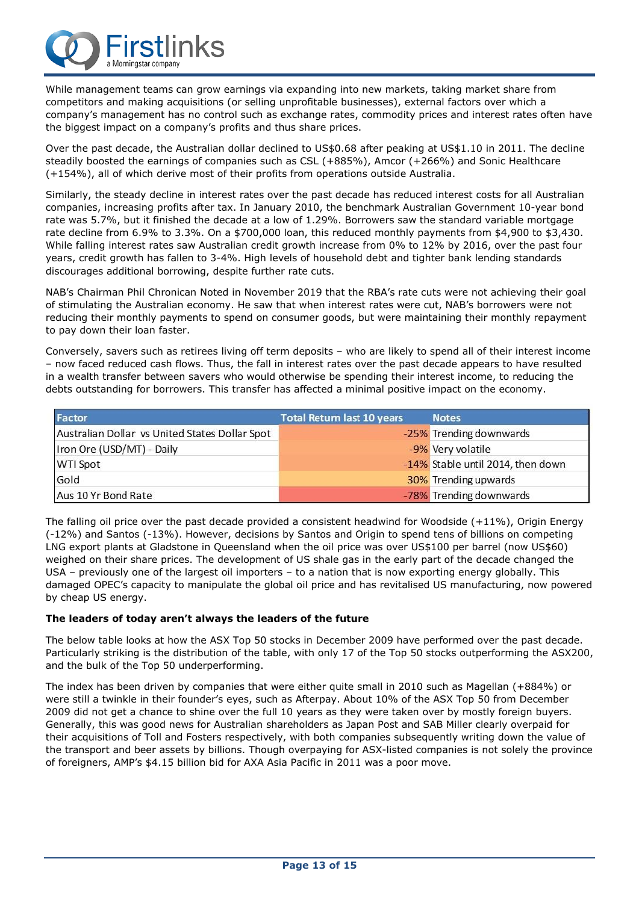

While management teams can grow earnings via expanding into new markets, taking market share from competitors and making acquisitions (or selling unprofitable businesses), external factors over which a company's management has no control such as exchange rates, commodity prices and interest rates often have the biggest impact on a company's profits and thus share prices.

Over the past decade, the Australian dollar declined to US\$0.68 after peaking at US\$1.10 in 2011. The decline steadily boosted the earnings of companies such as CSL (+885%), Amcor (+266%) and Sonic Healthcare (+154%), all of which derive most of their profits from operations outside Australia.

Similarly, the steady decline in interest rates over the past decade has reduced interest costs for all Australian companies, increasing profits after tax. In January 2010, the benchmark Australian Government 10-year bond rate was 5.7%, but it finished the decade at a low of 1.29%. Borrowers saw the standard variable mortgage rate decline from 6.9% to 3.3%. On a \$700,000 loan, this reduced monthly payments from \$4,900 to \$3,430. While falling interest rates saw Australian credit growth increase from 0% to 12% by 2016, over the past four years, credit growth has fallen to 3-4%. High levels of household debt and tighter bank lending standards discourages additional borrowing, despite further rate cuts.

NAB's Chairman Phil Chronican Noted in November 2019 that the RBA's rate cuts were not achieving their goal of stimulating the Australian economy. He saw that when interest rates were cut, NAB's borrowers were not reducing their monthly payments to spend on consumer goods, but were maintaining their monthly repayment to pay down their loan faster.

Conversely, savers such as retirees living off term deposits – who are likely to spend all of their interest income – now faced reduced cash flows. Thus, the fall in interest rates over the past decade appears to have resulted in a wealth transfer between savers who would otherwise be spending their interest income, to reducing the debts outstanding for borrowers. This transfer has affected a minimal positive impact on the economy.

| Factor                                         | <b>Total Return last 10 years</b> | <b>Notes</b>                      |
|------------------------------------------------|-----------------------------------|-----------------------------------|
| Australian Dollar vs United States Dollar Spot |                                   | -25% Trending downwards           |
| Iron Ore (USD/MT) - Daily                      |                                   | -9% Very volatile                 |
| <b>WTI Spot</b>                                |                                   | -14% Stable until 2014, then down |
| Gold                                           |                                   | 30% Trending upwards              |
| Aus 10 Yr Bond Rate                            |                                   | -78% Trending downwards           |

The falling oil price over the past decade provided a consistent headwind for Woodside (+11%), Origin Energy (-12%) and Santos (-13%). However, decisions by Santos and Origin to spend tens of billions on competing LNG export plants at Gladstone in Queensland when the oil price was over US\$100 per barrel (now US\$60) weighed on their share prices. The development of US shale gas in the early part of the decade changed the USA – previously one of the largest oil importers – to a nation that is now exporting energy globally. This damaged OPEC's capacity to manipulate the global oil price and has revitalised US manufacturing, now powered by cheap US energy.

### **The leaders of today aren't always the leaders of the future**

The below table looks at how the ASX Top 50 stocks in December 2009 have performed over the past decade. Particularly striking is the distribution of the table, with only 17 of the Top 50 stocks outperforming the ASX200, and the bulk of the Top 50 underperforming.

The index has been driven by companies that were either quite small in 2010 such as Magellan (+884%) or were still a twinkle in their founder's eyes, such as Afterpay. About 10% of the ASX Top 50 from December 2009 did not get a chance to shine over the full 10 years as they were taken over by mostly foreign buyers. Generally, this was good news for Australian shareholders as Japan Post and SAB Miller clearly overpaid for their acquisitions of Toll and Fosters respectively, with both companies subsequently writing down the value of the transport and beer assets by billions. Though overpaying for ASX-listed companies is not solely the province of foreigners, AMP's \$4.15 billion bid for AXA Asia Pacific in 2011 was a poor move.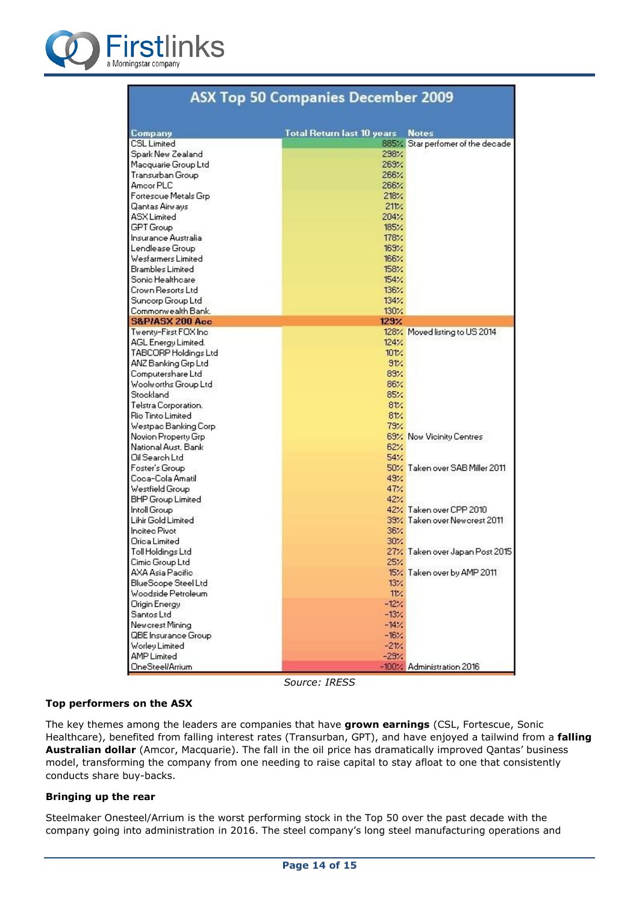

| ASA TOP 50 Companies December 2005  |                                   |                                   |  |  |  |
|-------------------------------------|-----------------------------------|-----------------------------------|--|--|--|
|                                     |                                   |                                   |  |  |  |
| Company<br><b>CSL Limited</b>       | <b>Total Return last 10 years</b> | <b>Notes</b>                      |  |  |  |
| Spark New Zealand                   | 298%                              | 885% Star performer of the decade |  |  |  |
|                                     | 269%                              |                                   |  |  |  |
| Macquarie Group Ltd                 | 266%                              |                                   |  |  |  |
| Transurban Group                    | 266%                              |                                   |  |  |  |
| Amcor PLC                           | 218%                              |                                   |  |  |  |
| Fortescue Metals Grp                | 211/                              |                                   |  |  |  |
| Qantas Airways<br><b>ASXLimited</b> | 204%                              |                                   |  |  |  |
| <b>GPT</b> Group                    |                                   |                                   |  |  |  |
|                                     | 185%                              |                                   |  |  |  |
| Insurance Australia                 | 178%                              |                                   |  |  |  |
| Lendlease Group                     | 169.7                             |                                   |  |  |  |
| Wesfarmers Limited                  | 166%                              |                                   |  |  |  |
| <b>Brambles Limited</b>             | 158%                              |                                   |  |  |  |
| Sonic Healthcare                    | 154%                              |                                   |  |  |  |
| Crown Resorts Ltd                   | 136%                              |                                   |  |  |  |
| Suncorp Group Ltd                   | 134/                              |                                   |  |  |  |
| Commonwealth Bank.                  | 130 <sub>2</sub>                  |                                   |  |  |  |
| <b>S&amp;PIASX 200 Acc</b>          | 129 <sub>Z</sub>                  |                                   |  |  |  |
| Twenty-First FOX Inc.               |                                   | 128% Moved listing to US 2014     |  |  |  |
| AGL Energy Limited.                 | 124%                              |                                   |  |  |  |
| TABCORP Holdings Ltd                | 101.2                             |                                   |  |  |  |
| ANZ Banking Grp Ltd                 | 91%                               |                                   |  |  |  |
| Computershare Ltd                   | 89%                               |                                   |  |  |  |
| Woolworths Group Ltd                | 86%                               |                                   |  |  |  |
| Stockland                           | 85%                               |                                   |  |  |  |
| Telstra Corporation.                | 81%                               |                                   |  |  |  |
| <b>Rio Tinto Limited</b>            | 81%                               |                                   |  |  |  |
| Westpac Banking Corp                | 79%                               |                                   |  |  |  |
| Novion Property Grp                 |                                   | 69% Now Vicinity Centres          |  |  |  |
| National Aust, Bank                 | 62%                               |                                   |  |  |  |
| Oil Search Ltd                      | 54%                               |                                   |  |  |  |
| Foster's Group                      |                                   | 50% Taken over SAB Miller 2011    |  |  |  |
| Coca-Cola Amatil                    | 49.4                              |                                   |  |  |  |
| Westfield Group                     | 47 <sub>2</sub>                   |                                   |  |  |  |
| <b>BHP Group Limited</b>            | 42%                               |                                   |  |  |  |
| Intoll Group                        |                                   | 42% Taken over CPP 2010           |  |  |  |
| Lihir Gold Limited                  |                                   | 39% Taken over New crest 2011     |  |  |  |
| <b>Incited Pivot</b>                | 36%                               |                                   |  |  |  |
| Orica Limited                       | 30 <sub>2</sub>                   |                                   |  |  |  |
| Toll Holdings Ltd                   |                                   | 27% Taken over Japan Post 2015    |  |  |  |
| Cimic Group Ltd                     | 25/                               |                                   |  |  |  |
| AXA Asia Pacific                    |                                   | 15% Taken over by AMP 2011        |  |  |  |
| BlueScope Steel Ltd                 | 13%                               |                                   |  |  |  |
| Woodside Petroleum                  | 11%                               |                                   |  |  |  |
| Origin Energy                       | $-12%$                            |                                   |  |  |  |
| Santos Ltd                          | $-13%$                            |                                   |  |  |  |
| New crest Minina                    | $-14%$                            |                                   |  |  |  |
| QBE Insurance Group                 | $-16%$                            |                                   |  |  |  |
| <b>Worley Limited</b>               | $-21/2$                           |                                   |  |  |  |
| <b>AMP Limited</b>                  | $-29%$                            |                                   |  |  |  |
| <b>OneSteel/Arrium</b>              |                                   | -100% Administration 2016         |  |  |  |

## ACV Tex EO Companies Desember 2000

*Source: IRESS*

### **Top performers on the ASX**

The key themes among the leaders are companies that have **grown earnings** (CSL, Fortescue, Sonic Healthcare), benefited from falling interest rates (Transurban, GPT), and have enjoyed a tailwind from a **falling Australian dollar** (Amcor, Macquarie). The fall in the oil price has dramatically improved Qantas' business model, transforming the company from one needing to raise capital to stay afloat to one that consistently conducts share buy-backs.

#### **Bringing up the rear**

Steelmaker Onesteel/Arrium is the worst performing stock in the Top 50 over the past decade with the company going into administration in 2016. The steel company's long steel manufacturing operations and